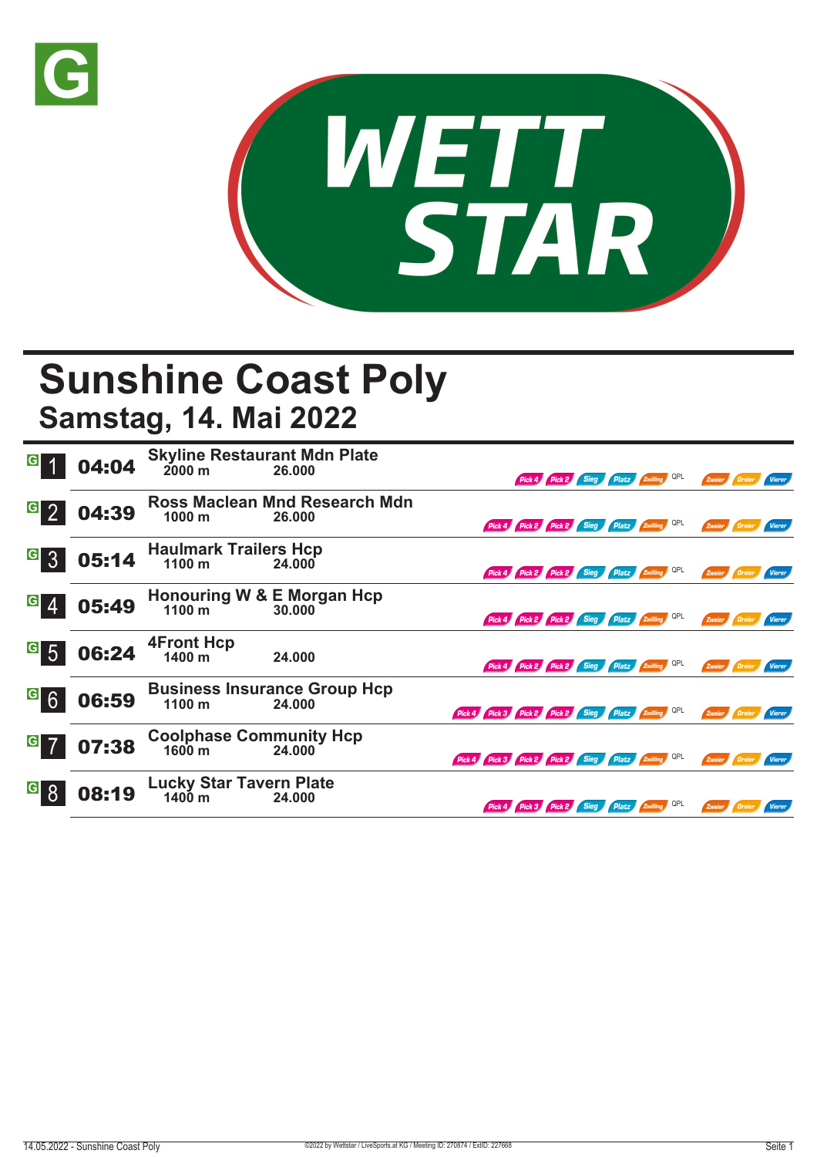



## **Sunshine Coast Poly**

**Samstag, 14. Mai 2022**

|                                    | 04:04 | <b>Skyline Restaurant Mdn Plate</b><br>$2000 \text{ m}$    | 26.000                                        |                                                     |                                              | Pick 4 Pick 2 Sieg Platz Zwilling QPL |                       |     | Zweier        |               | Vierer        |
|------------------------------------|-------|------------------------------------------------------------|-----------------------------------------------|-----------------------------------------------------|----------------------------------------------|---------------------------------------|-----------------------|-----|---------------|---------------|---------------|
| $\vert G \vert$                    | 04:39 | 1000 <sub>m</sub>                                          | Ross Maclean Mnd Research Mdn<br>26.000       |                                                     | Pick 4 Pick 2 Pick 2 Sieg Platz Zwilling QPL |                                       |                       |     | Zweier        | / Dreier      | Vierer        |
| $\overline{G}$<br>$\overline{3}$   | 05:14 | <b>Haulmark Trailers Hcp</b><br>1100 m                     | 24,000                                        |                                                     | Pick 4 Pick 2 Pick 2 Sieg Platz Zwilling QPL |                                       |                       |     |               | Zweier Dreier | Vierer        |
| $\vert G \vert$                    | 05:49 | <b>Honouring W &amp; E Morgan Hcp</b><br>1100 <sub>m</sub> | 30,000                                        |                                                     | Pick 4 Pick 2 Pick 2 Sieg Platz Zwilling OPL |                                       |                       |     | Zweier        |               | Vierer        |
| $\vert G \vert$<br>$5\overline{5}$ | 06:24 | <b>4Front Hcp</b><br>1400 m                                | 24.000                                        |                                                     | Pick 4 Pick 2 Pick 2 Sieg Platz Zwilling QPL |                                       |                       |     | Zweier Dreier |               | Vierer        |
| $G$ 6                              | 06:59 | 1100 m                                                     | <b>Business Insurance Group Hcp</b><br>24.000 | Pick 4 Pick 3 Pick 2 Pick 2 Sieg Platz Zwilling QPL |                                              |                                       |                       |     | Zweier Dreier |               | Vierer        |
| G                                  | 07:38 | <b>Coolphase Community Hcp</b><br>$1600 \; \mathrm{m}$     | 24.000                                        | Pick 4 Pick 3 Pick 2 Pick 2 Sieg Platz Zwilling QPL |                                              |                                       |                       |     | Zweier        | Dreier        | Vierer        |
|                                    | 08:19 | <b>Lucky Star Tavern Plate</b><br>$1400 \text{ m}$         | 24.000                                        |                                                     | Pick 4 Pick 3 Pick 2 Sieg                    |                                       | Platz <b>Zwilling</b> | QPL | Zweier        | / Dreier      | <b>Vierer</b> |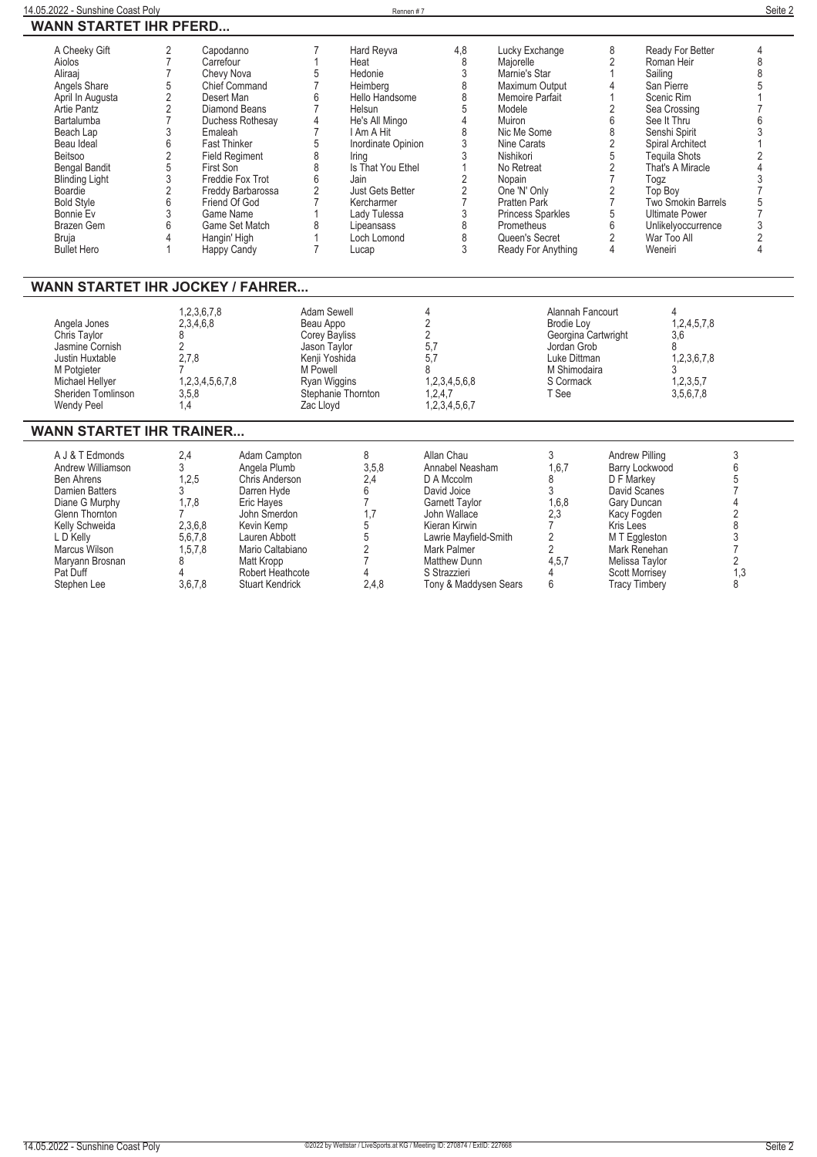| 14.05.2022 - Sunshine Coast Poly                                                                                                                                                                                                                                                                                 |                                                                                                                                                                                                                                                                                                                                                                     |                                                                                                                                                                                  |                                                                                                                                                                                                    | Rennen #7                                                                                                                                                                                                                                                 |                                                                                                                                                                                              |                                                                                                                                                                                                                                                                                                   |                                                                                                                                                                                                           |                                                                                                                                                                                                                                                                                                         | Seite 2                                                                                                                                                              |
|------------------------------------------------------------------------------------------------------------------------------------------------------------------------------------------------------------------------------------------------------------------------------------------------------------------|---------------------------------------------------------------------------------------------------------------------------------------------------------------------------------------------------------------------------------------------------------------------------------------------------------------------------------------------------------------------|----------------------------------------------------------------------------------------------------------------------------------------------------------------------------------|----------------------------------------------------------------------------------------------------------------------------------------------------------------------------------------------------|-----------------------------------------------------------------------------------------------------------------------------------------------------------------------------------------------------------------------------------------------------------|----------------------------------------------------------------------------------------------------------------------------------------------------------------------------------------------|---------------------------------------------------------------------------------------------------------------------------------------------------------------------------------------------------------------------------------------------------------------------------------------------------|-----------------------------------------------------------------------------------------------------------------------------------------------------------------------------------------------------------|---------------------------------------------------------------------------------------------------------------------------------------------------------------------------------------------------------------------------------------------------------------------------------------------------------|----------------------------------------------------------------------------------------------------------------------------------------------------------------------|
| <b>WANN STARTET IHR PFERD</b>                                                                                                                                                                                                                                                                                    |                                                                                                                                                                                                                                                                                                                                                                     |                                                                                                                                                                                  |                                                                                                                                                                                                    |                                                                                                                                                                                                                                                           |                                                                                                                                                                                              |                                                                                                                                                                                                                                                                                                   |                                                                                                                                                                                                           |                                                                                                                                                                                                                                                                                                         |                                                                                                                                                                      |
| A Cheeky Gift<br>Aiolos<br>Aliraaj<br>Angels Share<br>April In Augusta<br><b>Artie Pantz</b><br><b>Bartalumba</b><br>Beach Lap<br>Beau Ideal<br><b>Beitsoo</b><br><b>Bengal Bandit</b><br><b>Blinding Light</b><br>Boardie<br><b>Bold Style</b><br>Bonnie Ev<br>Brazen Gem<br><b>Bruja</b><br><b>Bullet Hero</b> | $\overline{2}$<br>Capodanno<br>$\overline{7}$<br>Carrefour<br>$\overline{7}$<br>Chevy Nova<br>5<br>$\overline{\mathbf{c}}$<br>Desert Man<br>$\overline{2}$<br>$\overline{7}$<br>3<br>Emaleah<br>6<br><b>Fast Thinker</b><br>$\overline{2}$<br>5<br>First Son<br>3<br>$\overline{\mathbf{c}}$<br>6<br>3<br>Game Name<br>6<br>4<br>Hangin' High<br><b>Happy Candy</b> | Chief Command<br>Diamond Beans<br>Duchess Rothesay<br><b>Field Regiment</b><br>Freddie Fox Trot<br>Freddy Barbarossa<br>Friend Of God<br>Game Set Match                          | $\overline{7}$<br>$\mathbf{1}$<br>5<br>$\overline{7}$<br>6<br>$\overline{7}$<br>4<br>$\overline{7}$<br>5<br>8<br>8<br>6<br>$\overline{2}$<br>$\overline{7}$<br>8<br>$\mathbf{1}$<br>$\overline{7}$ | Hard Reyva<br>Heat<br>Hedonie<br>Heimberg<br>Hello Handsome<br>Helsun<br>He's All Mingo<br>I Am A Hit<br>Inordinate Opinion<br>Irina<br>Is That You Ethel<br>Jain<br>Just Gets Better<br>Kercharmer<br>Lady Tulessa<br>Lipeansass<br>Loch Lomond<br>Lucap | 4,8<br>8<br>3<br>8<br>8<br>5<br>4<br>8<br>3<br>3<br>1<br>2<br>2<br>$\overline{7}$<br>3<br>8<br>8<br>3                                                                                        | Lucky Exchange<br>Majorelle<br>Marnie's Star<br>Maximum Output<br>Memoire Parfait<br>Modele<br>Muiron<br>Nic Me Some<br>Nine Carats<br>Nishikori<br>No Retreat<br>Nopain<br>One 'N' Only<br><b>Pratten Park</b><br><b>Princess Sparkles</b><br>Prometheus<br>Queen's Secret<br>Ready For Anything | 8<br>$\overline{2}$<br>$\mathbf{1}$<br>4<br>1<br>$\overline{2}$<br>6<br>8<br>2<br>5<br>$\overline{2}$<br>$\overline{7}$<br>$\overline{2}$<br>$\overline{7}$<br>5<br>6<br>$\overline{2}$<br>$\overline{4}$ | Ready For Better<br>Roman Heir<br>Sailing<br>San Pierre<br>Scenic Rim<br>Sea Crossing<br>See It Thru<br>Senshi Spirit<br>Spiral Architect<br><b>Tequila Shots</b><br>That's A Miracle<br>Togz<br>Top Boy<br>Two Smokin Barrels<br><b>Ultimate Power</b><br>Unlikelyoccurrence<br>War Too All<br>Weneiri | 4<br>8<br>8<br>5<br>$\overline{1}$<br>7<br>6<br>3<br>1<br>$\overline{c}$<br>$\overline{4}$<br>3<br>$\overline{7}$<br>5<br>$\overline{7}$<br>3<br>$\overline{2}$<br>4 |
| <b>WANN STARTET IHR JOCKEY / FAHRER</b><br>Angela Jones<br>Chris Taylor<br>Jasmine Cornish<br>Justin Huxtable<br>M Potgieter<br>Michael Hellyer<br>Sheriden Tomlinson<br><b>Wendy Peel</b>                                                                                                                       | 1.2.3.6.7.8<br>2,3,4,6,8<br>8<br>$\overline{2}$<br>2,7,8<br>7<br>1,2,3,4,5,6,7,8<br>3,5,8<br>1,4                                                                                                                                                                                                                                                                    |                                                                                                                                                                                  | Adam Sewell<br>Beau Appo<br><b>Corey Bayliss</b><br>Jason Taylor<br>Kenji Yoshida<br>M Powell<br>Ryan Wiggins<br>Stephanie Thornton<br>Zac Lloyd                                                   |                                                                                                                                                                                                                                                           | 4<br>2<br>$\overline{2}$<br>5,7<br>5,7<br>8<br>1,2,3,4,5,6,8<br>1,2,4,7<br>1,2,3,4,5,6,7                                                                                                     | Alannah Fancourt<br><b>Brodie Lov</b><br>Georgina Cartwright<br>Jordan Grob<br>Luke Dittman<br>M Shimodaira<br>S Cormack<br>T See                                                                                                                                                                 |                                                                                                                                                                                                           | 4<br>1,2,4,5,7,8<br>3.6<br>8<br>1,2,3,6,7,8<br>3<br>1,2,3,5,7<br>3.5,6,7,8                                                                                                                                                                                                                              |                                                                                                                                                                      |
| <b>WANN STARTET IHR TRAINER</b>                                                                                                                                                                                                                                                                                  |                                                                                                                                                                                                                                                                                                                                                                     |                                                                                                                                                                                  |                                                                                                                                                                                                    |                                                                                                                                                                                                                                                           |                                                                                                                                                                                              |                                                                                                                                                                                                                                                                                                   |                                                                                                                                                                                                           |                                                                                                                                                                                                                                                                                                         |                                                                                                                                                                      |
| A J & T Edmonds<br>Andrew Williamson<br><b>Ben Ahrens</b><br><b>Damien Batters</b><br>Diane G Murphy<br>Glenn Thornton<br>Kelly Schweida<br>L D Kelly<br>Marcus Wilson<br>Maryann Brosnan<br>Pat Duff                                                                                                            | 2,4<br>3<br>1,2,5<br>3<br>1,7,8<br>$\overline{7}$<br>2,3,6,8<br>5,6,7,8<br>1,5,7,8<br>8<br>4                                                                                                                                                                                                                                                                        | Adam Campton<br>Angela Plumb<br>Chris Anderson<br>Darren Hyde<br>Eric Hayes<br>John Smerdon<br>Kevin Kemp<br>Lauren Abbott<br>Mario Caltabiano<br>Matt Kropp<br>Robert Heathcote |                                                                                                                                                                                                    | 8<br>3.5.8<br>2,4<br>6<br>$\overline{7}$<br>1.7<br>5<br>5<br>$\overline{2}$<br>7<br>4                                                                                                                                                                     | Allan Chau<br>Annabel Neasham<br>D A Mccolm<br>David Joice<br><b>Garnett Taylor</b><br>John Wallace<br>Kieran Kirwin<br>Lawrie Mayfield-Smith<br>Mark Palmer<br>Matthew Dunn<br>S Strazzieri | 3<br>1.6.7<br>8<br>3<br>1,6,8<br>2,3<br>$\overline{7}$<br>$\overline{2}$<br>$\overline{2}$<br>4,5,7<br>4                                                                                                                                                                                          | <b>Andrew Pilling</b><br>D F Markey<br>David Scanes<br>Gary Duncan<br>Kacy Fogden<br>Kris Lees<br>M T Eggleston<br>Mark Renehan<br>Melissa Taylor<br><b>Scott Morrisey</b>                                | Barry Lockwood                                                                                                                                                                                                                                                                                          | 3<br>$6\phantom{1}6$<br>5<br>$\overline{7}$<br>4<br>$\overline{\mathbf{c}}$<br>8<br>$\sqrt{3}$<br>$\overline{7}$<br>$\overline{2}$<br>1.3                            |

**Stephen Lee 3,6,7,8 Stuart Kendrick 2,4,8 Tony & Maddysen Sears 6 Tracy Timbery 8**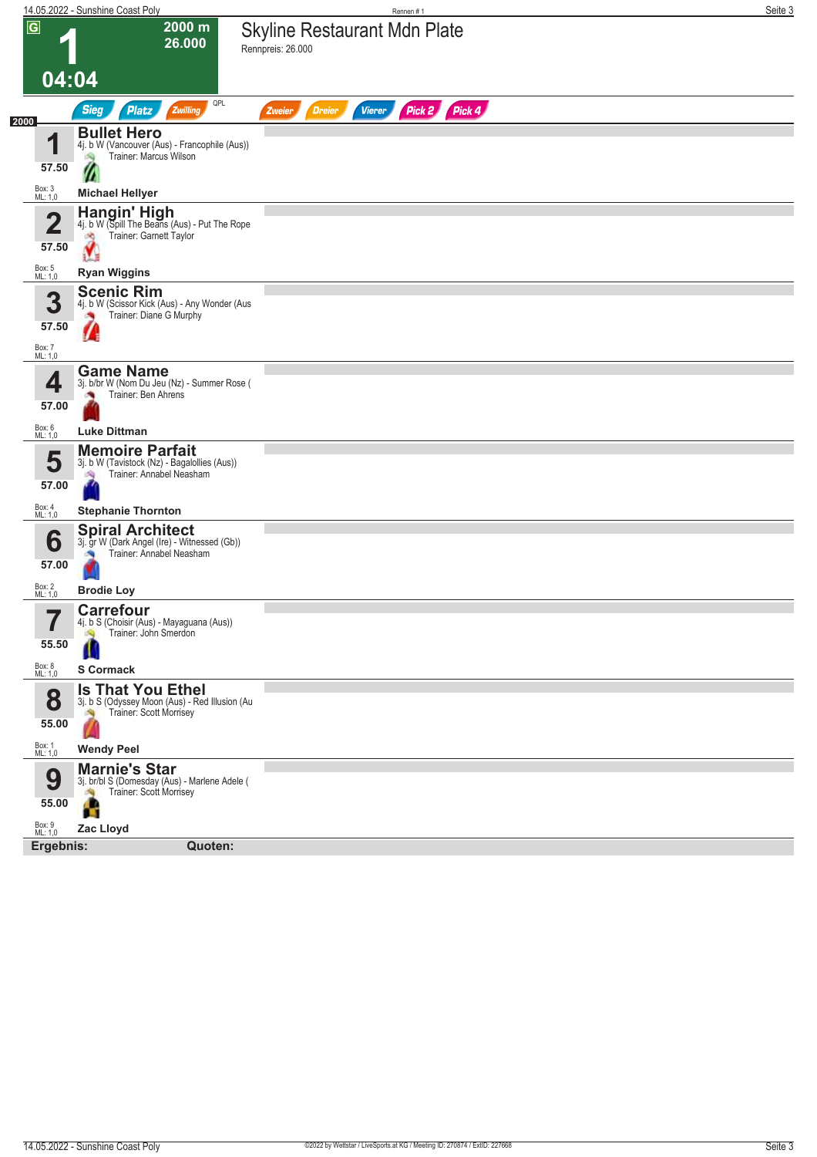|                         | 14.05.2022 - Sunshine Coast Poly                                                | Rennen#1                                                  | Seite 3 |
|-------------------------|---------------------------------------------------------------------------------|-----------------------------------------------------------|---------|
| $\overline{\mathsf{G}}$ | 2000 m<br>26.000                                                                | <b>Skyline Restaurant Mdn Plate</b><br>Rennpreis: 26.000  |         |
| 04:04                   |                                                                                 |                                                           |         |
| 2000                    | QPL<br><b>Sieg</b><br><b>Platz</b><br>Zwilling                                  | Pick 2 Pick 4<br><b>Vierer</b><br><b>Dreier</b><br>Zweier |         |
| 1                       | <b>Bullet Hero</b><br>4j. b W (Vancouver (Aus) - Francophile (Aus))             |                                                           |         |
| 57.50                   | Trainer: Marcus Wilson                                                          |                                                           |         |
|                         | W                                                                               |                                                           |         |
| Box: 3<br>ML: 1,0       | <b>Michael Hellyer</b><br>Hangin' High                                          |                                                           |         |
| $\overline{\mathbf{2}}$ | 4j. b W (Spill The Beans (Aus) - Put The Rope<br>Trainer: Garnett Taylor<br>đÔ, |                                                           |         |
| 57.50                   |                                                                                 |                                                           |         |
| Box: 5<br>ML: 1,0       | <b>Ryan Wiggins</b>                                                             |                                                           |         |
| 3                       | <b>Scenic Rim</b><br>4j. b W (Scissor Kick (Aus) - Any Wonder (Aus              |                                                           |         |
| 57.50                   | Trainer: Diane G Murphy                                                         |                                                           |         |
| Box: 7<br>ML: 1,0       |                                                                                 |                                                           |         |
|                         | <b>Game Name</b>                                                                |                                                           |         |
| 4                       | 3j. b/br W (Nom Du Jeu (Nz) - Summer Rose (<br>Trainer: Ben Ahrens              |                                                           |         |
| 57.00                   |                                                                                 |                                                           |         |
| Box: 6<br>ML: 1,0       | <b>Luke Dittman</b>                                                             |                                                           |         |
| 5                       | <b>Memoire Parfait</b><br>3j. b W (Tavistock (Nz) - Bagalollies (Aus))          |                                                           |         |
| 57.00                   | Trainer: Annabel Neasham<br>$\hat{z}$                                           |                                                           |         |
| Box: 4<br>ML: 1,0       | <b>Stephanie Thornton</b>                                                       |                                                           |         |
| 6                       | <b>Spiral Architect</b><br>3j. gr W (Dark Angel (Ire) - Witnessed (Gb))         |                                                           |         |
| 57.00                   | Trainer: Annabel Neasham                                                        |                                                           |         |
| Box: 2<br>ML: 1,0       | <b>Brodie Loy</b>                                                               |                                                           |         |
| 7                       | <b>Carrefour</b>                                                                |                                                           |         |
| I                       | 4j. b S (Choisir (Aus) - Mayaguana (Aus))<br>Trainer: John Smerdon<br>S.        |                                                           |         |
| 55.50                   |                                                                                 |                                                           |         |
| Box: 8<br>ML: 1,0       | S Cormack                                                                       |                                                           |         |
| 8                       | <b>Is That You Ethel</b><br>3j. b S (Odyssey Moon (Aus) - Red Illusion (Au      |                                                           |         |
| 55.00                   | Trainer: Scott Morrisey                                                         |                                                           |         |
| Box: 1<br>ML: 1,0       | <b>Wendy Peel</b>                                                               |                                                           |         |
| 9                       | <b>Marnie's Star</b>                                                            |                                                           |         |
| 55.00                   | 3j. br/bl S (Domesday (Aus) - Marlene Adele (<br>Trainer: Scott Morrisey        |                                                           |         |
|                         | f.                                                                              |                                                           |         |
| Box: 9<br>ML: 1,0       | Zac Lloyd<br>Ergebnis:<br>Quoten:                                               |                                                           |         |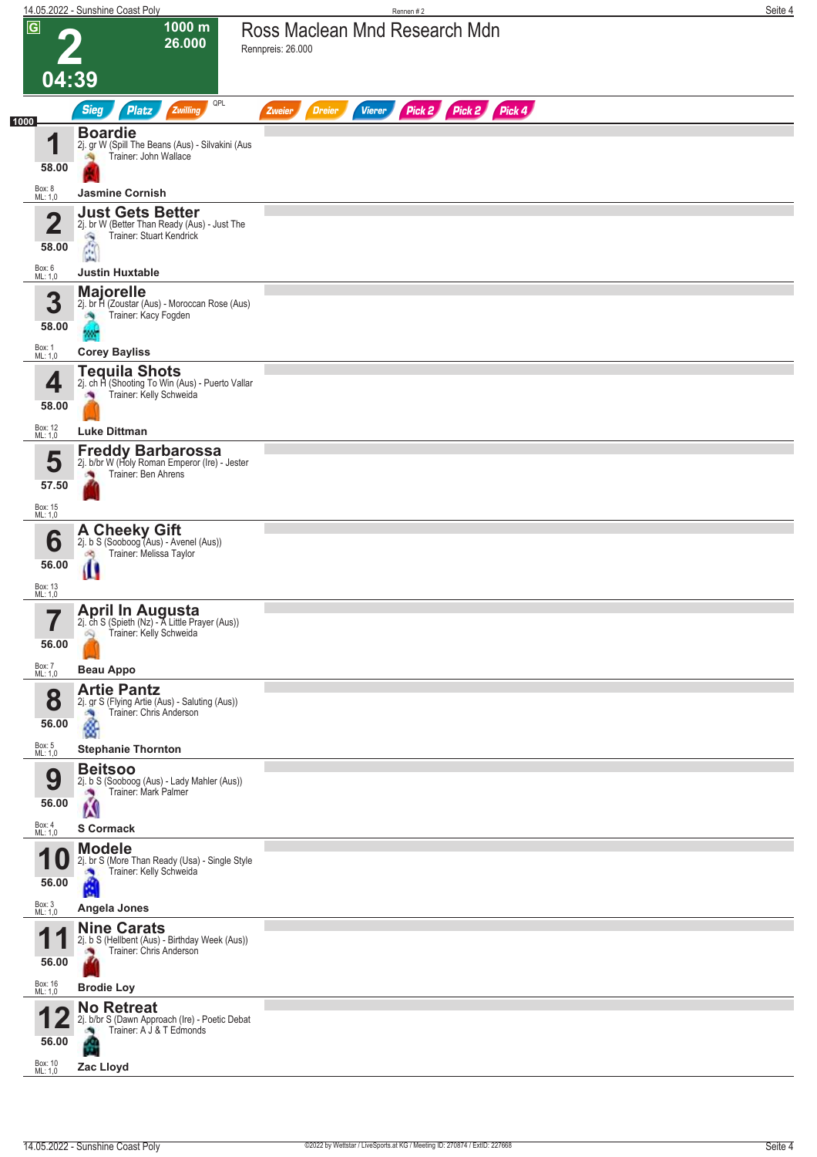|                    | 14.05.2022 - Sunshine Coast Poly                                                                                                                            | Rennen #2                                                        | Seite 4 |
|--------------------|-------------------------------------------------------------------------------------------------------------------------------------------------------------|------------------------------------------------------------------|---------|
| $\overline{G}$     | 1000 m<br>26.000<br>04:39                                                                                                                                   | Ross Maclean Mnd Research Mdn<br>Rennpreis: 26.000               |         |
|                    | QPL                                                                                                                                                         |                                                                  |         |
| 1000               | <b>Sieg</b><br><b>Platz</b><br>Zwilling                                                                                                                     | Pick 2 Pick 2 Pick 4<br><b>Dreier</b><br><b>Vierer</b><br>Zweier |         |
| И                  | <b>Boardie</b><br>2j. gr W (Spill The Beans (Aus) - Silvakini (Aus<br>Trainer: John Wallace<br>58.00                                                        |                                                                  |         |
| Box: 8<br>ML: 1,0  | <b>Jasmine Cornish</b>                                                                                                                                      |                                                                  |         |
|                    | <b>Just Gets Better</b><br>$\overline{\mathbf{2}}$<br>2j. br W (Better Than Ready (Aus) - Just The<br>Trainer: Stuart Kendrick<br>Â<br>58.00<br><b>Life</b> |                                                                  |         |
| Box: 6<br>ML: 1,0  | <b>Justin Huxtable</b>                                                                                                                                      |                                                                  |         |
|                    | <b>Majorelle</b><br>3<br>2j. br H (Zoustar (Aus) - Moroccan Rose (Aus)<br>Trainer: Kacy Fogden<br>58.00                                                     |                                                                  |         |
| Box: 1<br>ML: 1,0  | <b>Corey Bayliss</b>                                                                                                                                        |                                                                  |         |
|                    | <b>Tequila Shots</b><br>2j. ch H (Shooting To Win (Aus) - Puerto Vallar<br>4<br>Trainer: Kelly Schweida<br>58.00                                            |                                                                  |         |
| Box: 12<br>ML: 1,0 | <b>Luke Dittman</b>                                                                                                                                         |                                                                  |         |
|                    | <b>Freddy Barbarossa</b><br>5<br>2j. b/br W (Holy Roman Emperor (Ire) - Jester<br>Trainer: Ben Ahrens<br>57.50                                              |                                                                  |         |
| Box: 15<br>ML: 1,0 |                                                                                                                                                             |                                                                  |         |
|                    | <b>A Cheeky Gift</b><br>2j. b S (Sooboog (Aus) - Avenel (Aus))<br>6<br>Trainer: Melissa Taylor<br>d.<br>56.00                                               |                                                                  |         |
| Box: 13            | Ш                                                                                                                                                           |                                                                  |         |
| ML: 1,0            | <b>April In Augusta</b><br>2j. ch S (Spieth (Nz) - A Little Prayer (Aus))<br>Trainer: Kelly Schweida<br>叫<br>56.00                                          |                                                                  |         |
| Box: 7<br>ML: 1,0  | <b>Beau Appo</b>                                                                                                                                            |                                                                  |         |
|                    | <b>Artie Pantz</b><br>8<br>2j. gr S (Flying Artie (Aus) - Saluting (Aus))<br>Trainer: Chris Anderson<br>ĝ<br>56.00                                          |                                                                  |         |
| Box: 5<br>ML: 1,0  | <b>Stephanie Thornton</b>                                                                                                                                   |                                                                  |         |
|                    | <b>Beitsoo</b><br>9<br>2j. b S (Sooboog (Aus) - Lady Mahler (Aus))<br>Trainer: Mark Palmer<br>Ń<br>56.00                                                    |                                                                  |         |
| Box: 4<br>ML: 1,0  | <b>S</b> Cormack                                                                                                                                            |                                                                  |         |
| и                  | <b>Modele</b><br>2j. br S (More Than Ready (Usa) - Single Style<br>U<br>Trainer: Kelly Schweida<br>56.00<br>é                                               |                                                                  |         |
| Box: 3<br>ML: 1,0  | Angela Jones                                                                                                                                                |                                                                  |         |
|                    | <b>Nine Carats</b><br>2j. b S (Hellbent (Aus) - Birthday Week (Aus))<br>Trainer: Chris Anderson<br>56.00                                                    |                                                                  |         |
| Box: 16<br>ML: 1,0 | <b>Brodie Loy</b>                                                                                                                                           |                                                                  |         |
|                    | <b>No Retreat</b><br>2j. b/br S (Dawn Approach (Ire) - Poetic Debat<br>Trainer: A J & T Edmonds<br>56.00                                                    |                                                                  |         |
| Box: 10<br>ML: 1,0 | Zac Lloyd                                                                                                                                                   |                                                                  |         |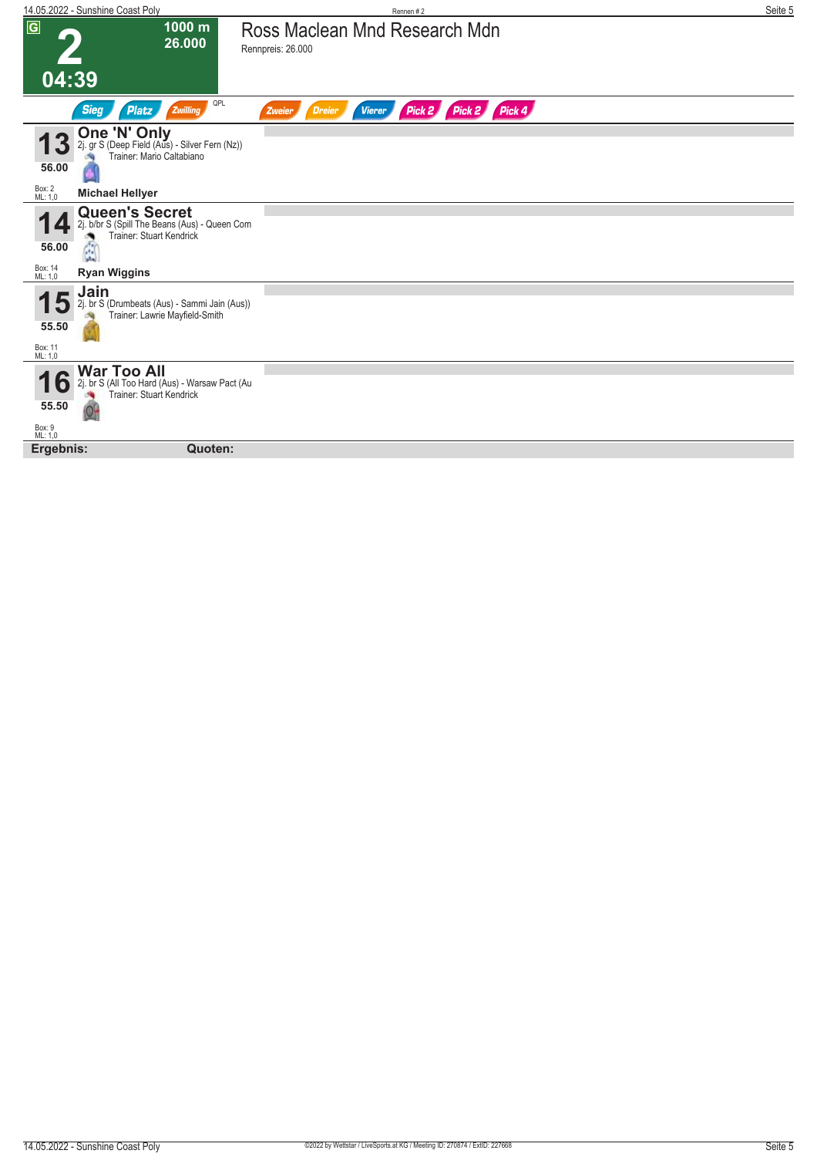|                             | 14.05.2022 - Sunshine Coast Poly                                                                                                   |                                                    | Rennen #2               | Seite 5 |
|-----------------------------|------------------------------------------------------------------------------------------------------------------------------------|----------------------------------------------------|-------------------------|---------|
| $\overline{G}$<br>04:39     | 1000 m<br>26.000                                                                                                                   | Ross Maclean Mnd Research Mdn<br>Rennpreis: 26.000 |                         |         |
|                             |                                                                                                                                    |                                                    |                         |         |
|                             | QPL<br><b>Sieg</b><br>Zwilling<br>Platz                                                                                            | <b>Dreier</b><br><b>Vierer</b><br>Zweier           | Pick 2 Pick 4<br>Pick 2 |         |
| 3 <sup>°</sup><br>56.00     | One 'N' Only<br>2j. gr S (Deep Field (Aus) - Silver Fern (Nz))<br>Trainer: Mario Caltabiano                                        |                                                    |                         |         |
| Box: 2<br>ML: 1,0           | <b>Michael Hellyer</b>                                                                                                             |                                                    |                         |         |
| 56.00                       | <b>Queen's Secret</b><br>2j. b/br S (Spill The Beans (Aus) - Queen Com<br>Trainer: Stuart Kendrick<br>زدار<br>$\mathbf{F}$<br>aka. |                                                    |                         |         |
| Box: 14<br>ML: 1,0          | <b>Ryan Wiggins</b>                                                                                                                |                                                    |                         |         |
| 55.50<br>Box: 11<br>ML: 1,0 | Jain<br>2j. br S (Drumbeats (Aus) - Sammi Jain (Aus))<br>Trainer: Lawrie Mayfield-Smith                                            |                                                    |                         |         |
|                             | <b>War Too All</b>                                                                                                                 |                                                    |                         |         |
| $\bullet$<br>55.50          | 2j. br S (All Too Hard (Aus) - Warsaw Pact (Au<br>Trainer: Stuart Kendrick                                                         |                                                    |                         |         |
| Box: 9<br>ML: 1,0           |                                                                                                                                    |                                                    |                         |         |
| Ergebnis:                   | Quoten:                                                                                                                            |                                                    |                         |         |
|                             |                                                                                                                                    |                                                    |                         |         |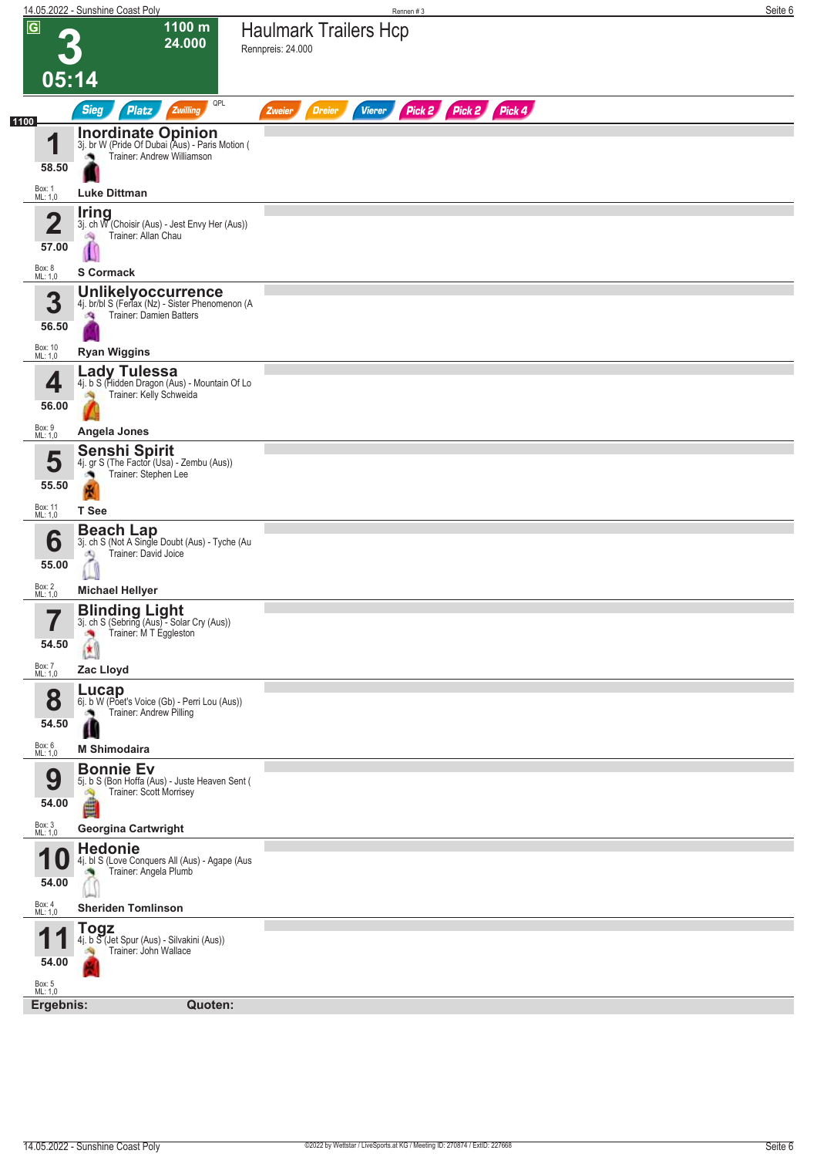|                                                           | 14.05.2022 - Sunshine Coast Poly                                                                                                                                                | Rennen#3                                                         | Seite 6 |
|-----------------------------------------------------------|---------------------------------------------------------------------------------------------------------------------------------------------------------------------------------|------------------------------------------------------------------|---------|
| $\overline{G}$<br>05:14                                   | 1100 m<br>24.000                                                                                                                                                                | <b>Haulmark Trailers Hcp</b><br>Rennpreis: 24.000                |         |
|                                                           | QPL<br><b>Sieg</b><br>Platz<br>Zwilling                                                                                                                                         | Pick 2 Pick 2 Pick 4<br><b>Vierer</b><br><b>Dreier</b><br>Zweier |         |
| 1100<br>1<br>58.50<br>Box: 1<br>ML: 1,0                   | <b>Inordinate Opinion</b><br>3j. br W (Pride Of Dubai (Aus) - Paris Motion (<br>Trainer: Andrew Williamson<br><b>Luke Dittman</b>                                               |                                                                  |         |
| $\overline{\mathbf{2}}$<br>57.00                          | <b>Iring</b><br>3j. ch W (Choisir (Aus) - Jest Envy Her (Aus))<br>Trainer: Allan Chau<br>啕                                                                                      |                                                                  |         |
| Box: 8<br>ML: 1,0<br>3<br>56.50                           | <b>S</b> Cormack<br>Unlikelyoccurrence<br>4j. br/bl S (Ferlax (Nz) - Sister Phenomenon (A<br><b>Trainer: Damien Batters</b><br>$\mathbf{Q}$                                     |                                                                  |         |
| Box: 10<br>ML: 1,0                                        | <b>Ryan Wiggins</b>                                                                                                                                                             |                                                                  |         |
| 4<br>56.00                                                | Lady Tulessa<br>4j. b S (Hidden Dragon (Aus) - Mountain Of Lo<br>Trainer: Kelly Schweida                                                                                        |                                                                  |         |
| Box: 9<br>ML: 1,0<br>5<br>55.50                           | Angela Jones<br><b>Senshi Spirit</b><br>4j. gr S (The Factor (Usa) - Zembu (Aus))<br>Trainer: Stephen Lee<br><b>COL</b><br>N                                                    |                                                                  |         |
| Box: 11<br>ML: 1,0<br>6<br>55.00                          | T See<br><b>Beach Lap</b><br>3j. ch S (Not A Single Doubt (Aus) - Tyche (Au<br>Trainer: David Joice<br>2                                                                        |                                                                  |         |
| Box: 2<br>ML: 1,0<br>7<br>П<br>54.50<br>Box: 7<br>ML: 1,0 | <b>Michael Hellyer</b><br><b>Blinding Light</b><br>3j. ch S (Sebring (Aus) - Solar Cry (Aus))<br>Trainer: M T Eggleston<br>×<br>$\left( \color{blue}\star \right)$<br>Zac Lloyd |                                                                  |         |
| 8<br>54.50<br>Box: 6<br>ML: 1,0                           | Lucap<br>6j. b W (Poet's Voice (Gb) - Perri Lou (Aus))<br>Trainer: Andrew Pilling<br>Ш<br><b>M Shimodaira</b>                                                                   |                                                                  |         |
| 9<br>54.00                                                | <b>Bonnie Ev</b><br>5j. b S (Bon Hoffa (Aus) - Juste Heaven Sent (<br>Trainer: Scott Morrisey<br>Ą<br>é                                                                         |                                                                  |         |
| Box: 3<br>ML: 1,0<br>54.00                                | <b>Georgina Cartwright</b><br><b>Hedonie</b><br>4j. bl S (Love Conquers All (Aus) - Agape (Aus<br>Trainer: Angela Plumb<br>ு                                                    |                                                                  |         |
| Box: 4<br>ML: 1,0<br>И<br>54.00                           | <b>Sheriden Tomlinson</b><br><b>Togz</b><br>4j. b S (Jet Spur (Aus) - Silvakini (Aus))<br>Trainer: John Wallace                                                                 |                                                                  |         |
| Box: 5<br>ML: 1,0<br>Ergebnis:                            | Quoten:                                                                                                                                                                         |                                                                  |         |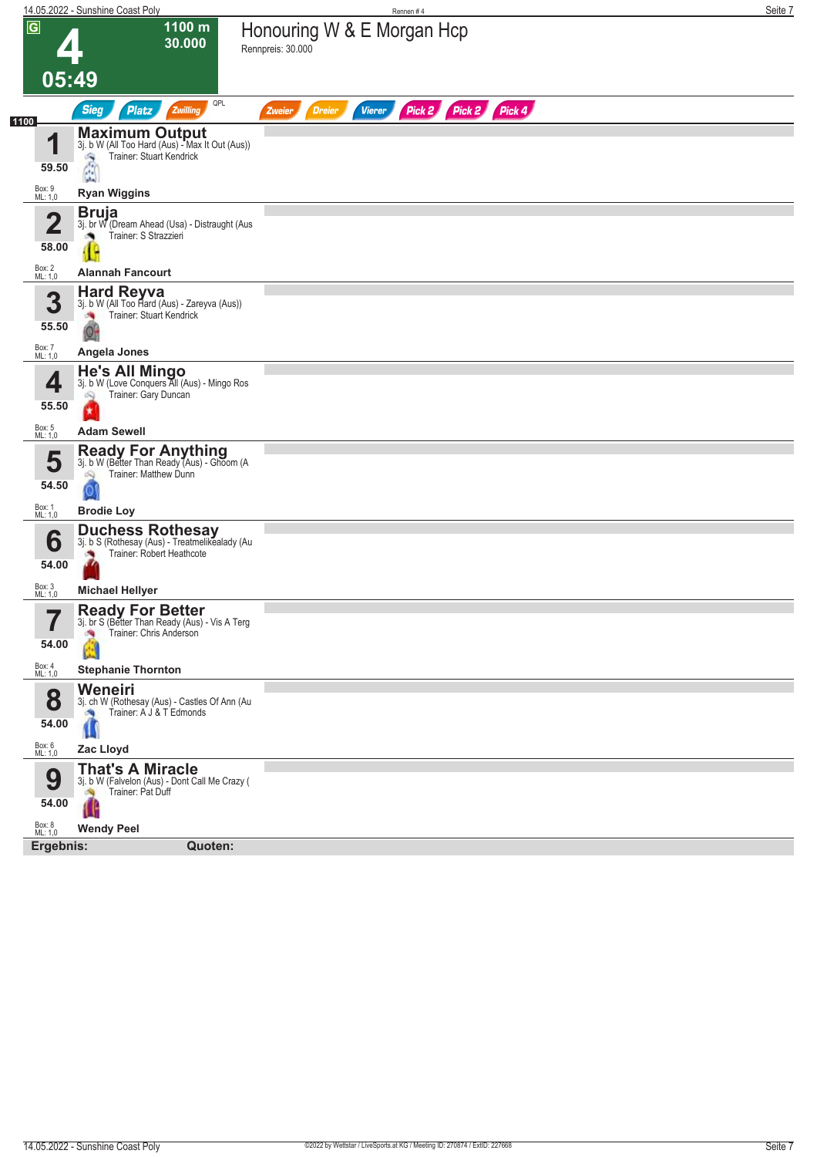|                                  | 14.05.2022 - Sunshine Coast Poly                                                                                            | Rennen#4                                                               | Seite 7 |
|----------------------------------|-----------------------------------------------------------------------------------------------------------------------------|------------------------------------------------------------------------|---------|
| $\overline{G}$<br>05:49          | 1100 m<br>30.000                                                                                                            | Honouring W & E Morgan Hcp<br>Rennpreis: 30.000                        |         |
|                                  | QPL<br><b>Sieg</b><br><b>Platz</b><br>Zwilling                                                                              | Pick 2<br>Pick 2<br>Pick 4<br><b>Vierer</b><br><b>Dreier</b><br>Zweier |         |
| 1100<br>1<br>59.50               | <b>Maximum Output</b> 3j. b W (All Too Hard (Aus) - Max It Out (Aus))<br>Trainer: Stuart Kendrick<br>â                      |                                                                        |         |
| Box: 9<br>ML: 1,0                | <b>Ryan Wiggins</b>                                                                                                         |                                                                        |         |
| $\overline{\mathbf{2}}$<br>58.00 | Bruja<br>3j. br W (Dream Ahead (Usa) - Distraught (Aus<br>Trainer: S Strazzieri                                             |                                                                        |         |
| Box: 2<br>ML: 1,0                | <b>Alannah Fancourt</b>                                                                                                     |                                                                        |         |
| 3<br>55.50<br>Box: 7<br>ML: 1,0  | <b>Hard Reyva</b><br>3j. b W (All Too Hard (Aus) - Zareyva (Aus))<br><b>Trainer: Stuart Kendrick</b><br>o n<br>Angela Jones |                                                                        |         |
|                                  | <b>He's All Mingo</b>                                                                                                       |                                                                        |         |
| 4<br>55.50                       | 3j. b W (Love Conquers All (Aus) - Mingo Ros<br>Trainer: Gary Duncan<br>Q                                                   |                                                                        |         |
| Box: 5<br>ML: 1,0                | <b>Adam Sewell</b>                                                                                                          |                                                                        |         |
| 54.50<br>Box: 1<br>ML: 1,0       | <b>Ready For Anything</b><br>3j. b W (Better Than Ready (Aus) - Ghoom (A<br>Trainer: Matthew Dunn<br>闷<br><b>Brodie Loy</b> |                                                                        |         |
| 6<br>54.00                       | <b>Duchess Rothesay</b><br>3j. b S (Rothesay (Aus) - Treatmelikealady (Au<br>Trainer: Robert Heathcote                      |                                                                        |         |
| Box: 3<br>ML: 1,0                | <b>Michael Hellyer</b>                                                                                                      |                                                                        |         |
| ب کا<br>54.00                    | <b>Ready For Better</b><br>3j. br S (Better Than Ready (Aus) - Vis A Terg<br>Trainer: Chris Anderson<br>询<br>۸              |                                                                        |         |
| Box: 4<br>ML: 1,0                | <b>Stephanie Thornton</b>                                                                                                   |                                                                        |         |
| 8<br>54.00<br>Box: 6<br>ML: 1,0  | Weneiri<br>3j. ch W (Rothesay (Aus) - Castles Of Ann (Au<br>Trainer: A J & T Edmonds<br>Ш<br>Zac Lloyd                      |                                                                        |         |
|                                  | <b>That's A Miracle</b>                                                                                                     |                                                                        |         |
| 9<br>54.00                       | 3j. b W (Falvelon (Aus) - Dont Call Me Crazy (<br>Trainer: Pat Duff<br>淘                                                    |                                                                        |         |
| Box: 8<br>ML: 1,0                | <b>Wendy Peel</b>                                                                                                           |                                                                        |         |
| Ergebnis:                        | Quoten:                                                                                                                     |                                                                        |         |
|                                  |                                                                                                                             |                                                                        |         |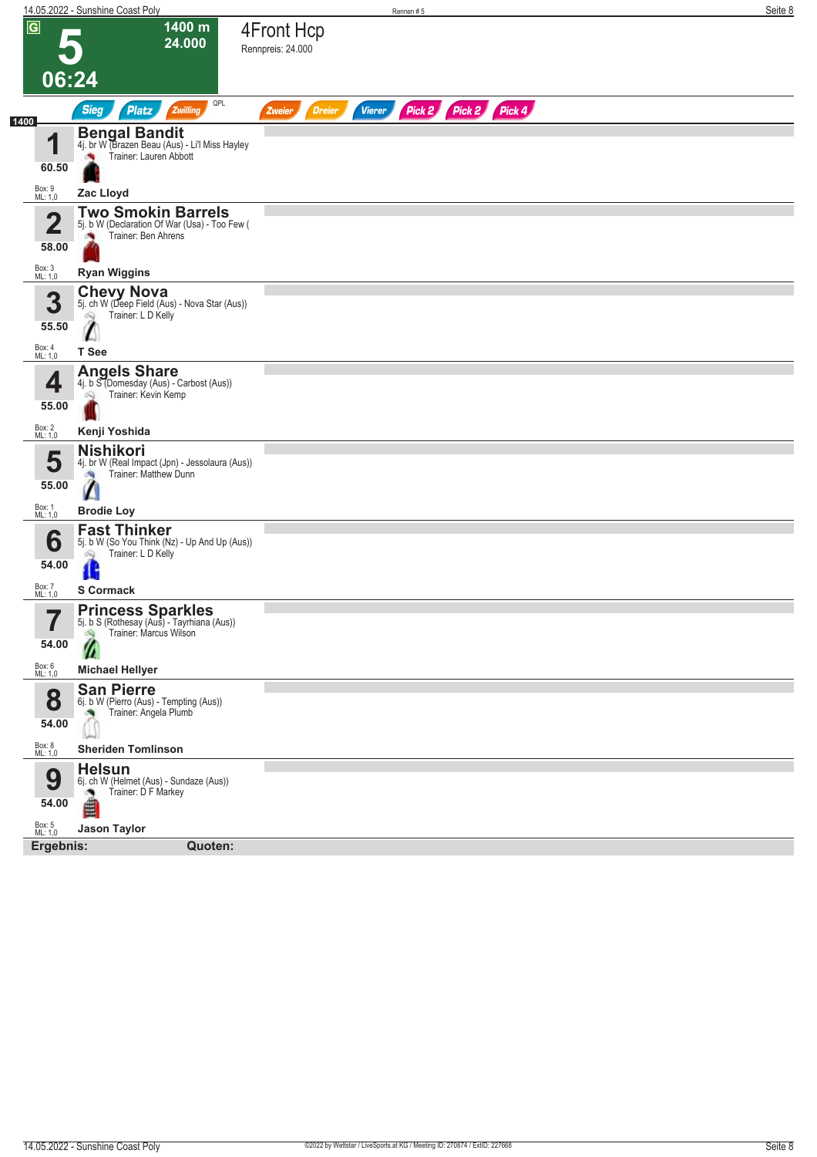|                                  | 14.05.2022 - Sunshine Coast Poly                                                                                        |                                 |                                | Rennen#5             |  |  | Seite 8 |
|----------------------------------|-------------------------------------------------------------------------------------------------------------------------|---------------------------------|--------------------------------|----------------------|--|--|---------|
| $\overline{G}$                   | 1400 m<br>24.000<br>06:24                                                                                               | 4Front Hcp<br>Rennpreis: 24.000 |                                |                      |  |  |         |
|                                  | QPL<br><b>Sieg</b><br><b>Platz</b><br>Zwilling                                                                          | Zweier                          | <b>Vierer</b><br><b>Dreier</b> | Pick 2 Pick 2 Pick 4 |  |  |         |
| 1400<br>4<br>60.50               | <b>Bengal Bandit</b><br>4j. br W (Brazen Beau (Aus) - Li'l Miss Hayley<br>Trainer: Lauren Abbott                        |                                 |                                |                      |  |  |         |
| Box: 9<br>ML: 1,0                | Zac Lloyd                                                                                                               |                                 |                                |                      |  |  |         |
| $\overline{\mathbf{2}}$<br>58.00 | <b>Two Smokin Barrels</b><br>5j. b W (Declaration Of War (Usa) - Too Few (<br>Trainer: Ben Ahrens                       |                                 |                                |                      |  |  |         |
| Box: 3<br>ML: 1,0                | <b>Ryan Wiggins</b>                                                                                                     |                                 |                                |                      |  |  |         |
| 3<br>55.50                       | <b>Chevy Nova</b><br>5j. ch W (Deep Field (Aus) - Nova Star (Aus))<br>Trainer: L D Kelly<br>OS)                         |                                 |                                |                      |  |  |         |
| Box: 4<br>ML: 1,0                | T See                                                                                                                   |                                 |                                |                      |  |  |         |
| 4<br>55.00                       | <b>Angels Share</b><br>4j. b S (Domesday (Aus) - Carbost (Aus))<br>Trainer: Kevin Kemp<br>Q                             |                                 |                                |                      |  |  |         |
| Box: 2<br>ML: 1,0                | Kenji Yoshida                                                                                                           |                                 |                                |                      |  |  |         |
| 5<br>55.00                       | <b>Nishikori</b><br>4j. br W (Real Impact (Jpn) - Jessolaura (Aus))<br>Trainer: Matthew Dunn<br>$\Lambda$               |                                 |                                |                      |  |  |         |
| Box: 1<br>ML: 1,0                | <b>Brodie Loy</b>                                                                                                       |                                 |                                |                      |  |  |         |
| 6<br>54.00                       | <b>Fast Thinker</b><br>5j. b W (So You Think (Nz) - Up And Up (Aus))<br>Trainer: L D Kelly<br>Q<br>Æ                    |                                 |                                |                      |  |  |         |
| Box: 7<br>ML: 1,0                | <b>S</b> Cormack                                                                                                        |                                 |                                |                      |  |  |         |
| 7<br>54.00                       | <b>Princess Sparkles</b><br>5j. b S (Rothesay (Aus) - Tayrhiana (Aus))<br>Trainer: Marcus Wilson                        |                                 |                                |                      |  |  |         |
| Box: 6<br>ML: 1,0                | <b>Michael Hellyer</b>                                                                                                  |                                 |                                |                      |  |  |         |
| 8<br>54.00                       | <b>San Pierre</b><br>6j. b W (Pierro (Aus) - Tempting (Aus))<br>Trainer: Angela Plumb<br>×<br><b>Sheriden Tomlinson</b> |                                 |                                |                      |  |  |         |
| Box: 8<br>ML: 1,0                | <b>Helsun</b>                                                                                                           |                                 |                                |                      |  |  |         |
| 9<br>54.00                       | 6j. ch W (Helmet (Aus) - Sundaze (Aus))<br>Trainer: D F Markey<br>≝                                                     |                                 |                                |                      |  |  |         |
| Box: 5<br>ML: 1,0                | <b>Jason Taylor</b>                                                                                                     |                                 |                                |                      |  |  |         |
| Ergebnis:                        | Quoten:                                                                                                                 |                                 |                                |                      |  |  |         |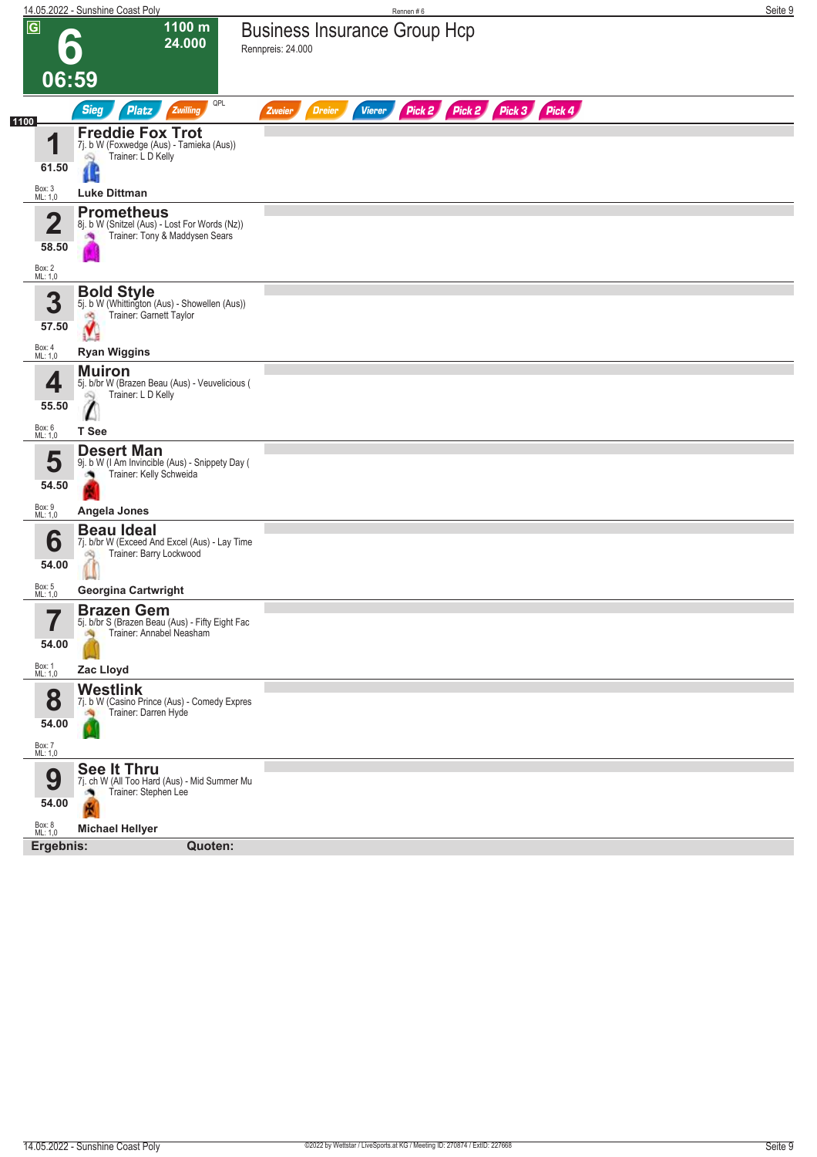| $\overline{G}$<br>1100 m<br><b>Business Insurance Group Hcp</b><br>24.000<br>Rennpreis: 24.000<br>06:59<br>QPL<br>Pick 2 Pick 2 Pick 3 Pick 4<br><b>Sieg</b><br><b>Platz</b><br>Zwilling<br><b>Vierer</b><br><b>Dreier</b><br>Zweier<br>1100<br><b>Freddie Fox Trot</b><br>1<br>7j. b W (Foxwedge (Aus) - Tamieka (Aus))<br>Trainer: L D Kelly<br>Q<br>61.50<br>Box: 3<br>ML: 1,0<br><b>Luke Dittman</b><br><b>Prometheus</b><br>4<br>8j. b W (Snitzel (Aus) - Lost For Words (Nz))<br>Trainer: Tony & Maddysen Sears<br>58.50<br>Box: 2<br>ML: 1,0<br><b>Bold Style</b><br>3<br>5j. b W (Whittington (Aus) - Showellen (Aus))<br>Trainer: Garnett Taylor<br>оQ<br>57.50<br>Box: 4<br>ML: 1,0<br><b>Ryan Wiggins</b><br><b>Muiron</b><br>4<br>5j. b/br W (Brazen Beau (Aus) - Veuvelicious (<br>Trainer: L D Kelly<br>55.50<br>Box: 6<br>ML: 1,0<br>T See<br><b>Desert Man</b><br>5<br>9j. b W (I Am Invincible (Aus) - Snippety Day (<br>Trainer: Kelly Schweida<br>54.50<br>Box: 9<br>ML: 1,0<br>Angela Jones<br><b>Beau Ideal</b><br>6<br>7j. b/br W (Exceed And Excel (Aus) - Lay Time<br>Trainer: Barry Lockwood<br>óÑ,<br>54.00<br>Box: 5<br>ML: 1,0<br><b>Georgina Cartwright</b><br><b>Brazen Gem</b><br>7<br>5j. b/br S (Brazen Beau (Aus) - Fifty Eight Fac<br>Trainer: Annabel Neasham<br>54.00 | 14.05.2022 - Sunshine Coast Poly | Rennen#6 |  | Seite 9 |
|------------------------------------------------------------------------------------------------------------------------------------------------------------------------------------------------------------------------------------------------------------------------------------------------------------------------------------------------------------------------------------------------------------------------------------------------------------------------------------------------------------------------------------------------------------------------------------------------------------------------------------------------------------------------------------------------------------------------------------------------------------------------------------------------------------------------------------------------------------------------------------------------------------------------------------------------------------------------------------------------------------------------------------------------------------------------------------------------------------------------------------------------------------------------------------------------------------------------------------------------------------------------------------------------------------|----------------------------------|----------|--|---------|
|                                                                                                                                                                                                                                                                                                                                                                                                                                                                                                                                                                                                                                                                                                                                                                                                                                                                                                                                                                                                                                                                                                                                                                                                                                                                                                            |                                  |          |  |         |
|                                                                                                                                                                                                                                                                                                                                                                                                                                                                                                                                                                                                                                                                                                                                                                                                                                                                                                                                                                                                                                                                                                                                                                                                                                                                                                            |                                  |          |  |         |
|                                                                                                                                                                                                                                                                                                                                                                                                                                                                                                                                                                                                                                                                                                                                                                                                                                                                                                                                                                                                                                                                                                                                                                                                                                                                                                            |                                  |          |  |         |
|                                                                                                                                                                                                                                                                                                                                                                                                                                                                                                                                                                                                                                                                                                                                                                                                                                                                                                                                                                                                                                                                                                                                                                                                                                                                                                            |                                  |          |  |         |
|                                                                                                                                                                                                                                                                                                                                                                                                                                                                                                                                                                                                                                                                                                                                                                                                                                                                                                                                                                                                                                                                                                                                                                                                                                                                                                            |                                  |          |  |         |
|                                                                                                                                                                                                                                                                                                                                                                                                                                                                                                                                                                                                                                                                                                                                                                                                                                                                                                                                                                                                                                                                                                                                                                                                                                                                                                            |                                  |          |  |         |
|                                                                                                                                                                                                                                                                                                                                                                                                                                                                                                                                                                                                                                                                                                                                                                                                                                                                                                                                                                                                                                                                                                                                                                                                                                                                                                            |                                  |          |  |         |
|                                                                                                                                                                                                                                                                                                                                                                                                                                                                                                                                                                                                                                                                                                                                                                                                                                                                                                                                                                                                                                                                                                                                                                                                                                                                                                            |                                  |          |  |         |
|                                                                                                                                                                                                                                                                                                                                                                                                                                                                                                                                                                                                                                                                                                                                                                                                                                                                                                                                                                                                                                                                                                                                                                                                                                                                                                            |                                  |          |  |         |
|                                                                                                                                                                                                                                                                                                                                                                                                                                                                                                                                                                                                                                                                                                                                                                                                                                                                                                                                                                                                                                                                                                                                                                                                                                                                                                            |                                  |          |  |         |
|                                                                                                                                                                                                                                                                                                                                                                                                                                                                                                                                                                                                                                                                                                                                                                                                                                                                                                                                                                                                                                                                                                                                                                                                                                                                                                            |                                  |          |  |         |
|                                                                                                                                                                                                                                                                                                                                                                                                                                                                                                                                                                                                                                                                                                                                                                                                                                                                                                                                                                                                                                                                                                                                                                                                                                                                                                            |                                  |          |  |         |
|                                                                                                                                                                                                                                                                                                                                                                                                                                                                                                                                                                                                                                                                                                                                                                                                                                                                                                                                                                                                                                                                                                                                                                                                                                                                                                            |                                  |          |  |         |
| Box: 1<br>ML: 1,0<br>Zac Lloyd<br><b>Westlink</b><br>8<br>7j. b W (Casino Prince (Aus) - Comedy Expres<br>Trainer: Darren Hyde<br>54.00                                                                                                                                                                                                                                                                                                                                                                                                                                                                                                                                                                                                                                                                                                                                                                                                                                                                                                                                                                                                                                                                                                                                                                    |                                  |          |  |         |
| Box: 7<br>ML: 1,0<br>See It Thru<br>9<br>7j. ch W (All Too Hard (Aus) - Mid Summer Mu<br>Trainer: Stephen Lee<br>54.00<br>N                                                                                                                                                                                                                                                                                                                                                                                                                                                                                                                                                                                                                                                                                                                                                                                                                                                                                                                                                                                                                                                                                                                                                                                |                                  |          |  |         |
| Box: 8<br>ML: 1,0<br><b>Michael Hellyer</b><br>Ergebnis:<br>Quoten:                                                                                                                                                                                                                                                                                                                                                                                                                                                                                                                                                                                                                                                                                                                                                                                                                                                                                                                                                                                                                                                                                                                                                                                                                                        |                                  |          |  |         |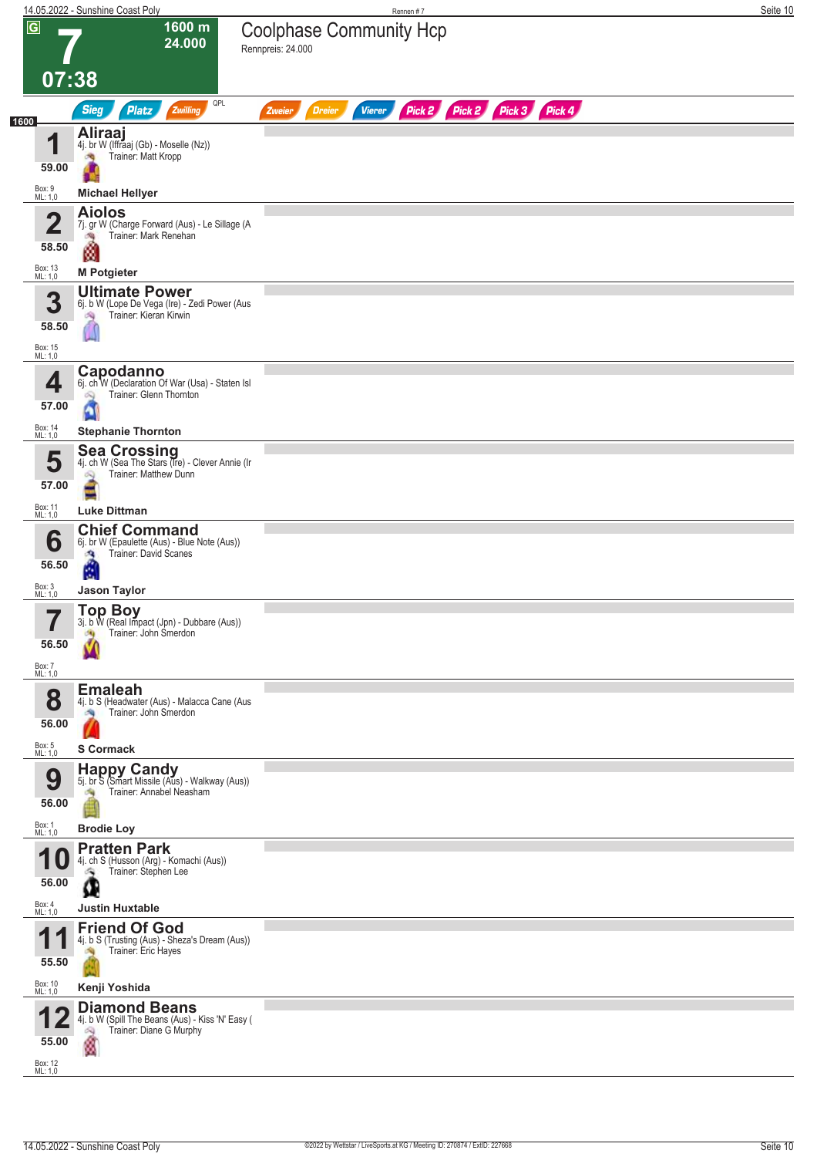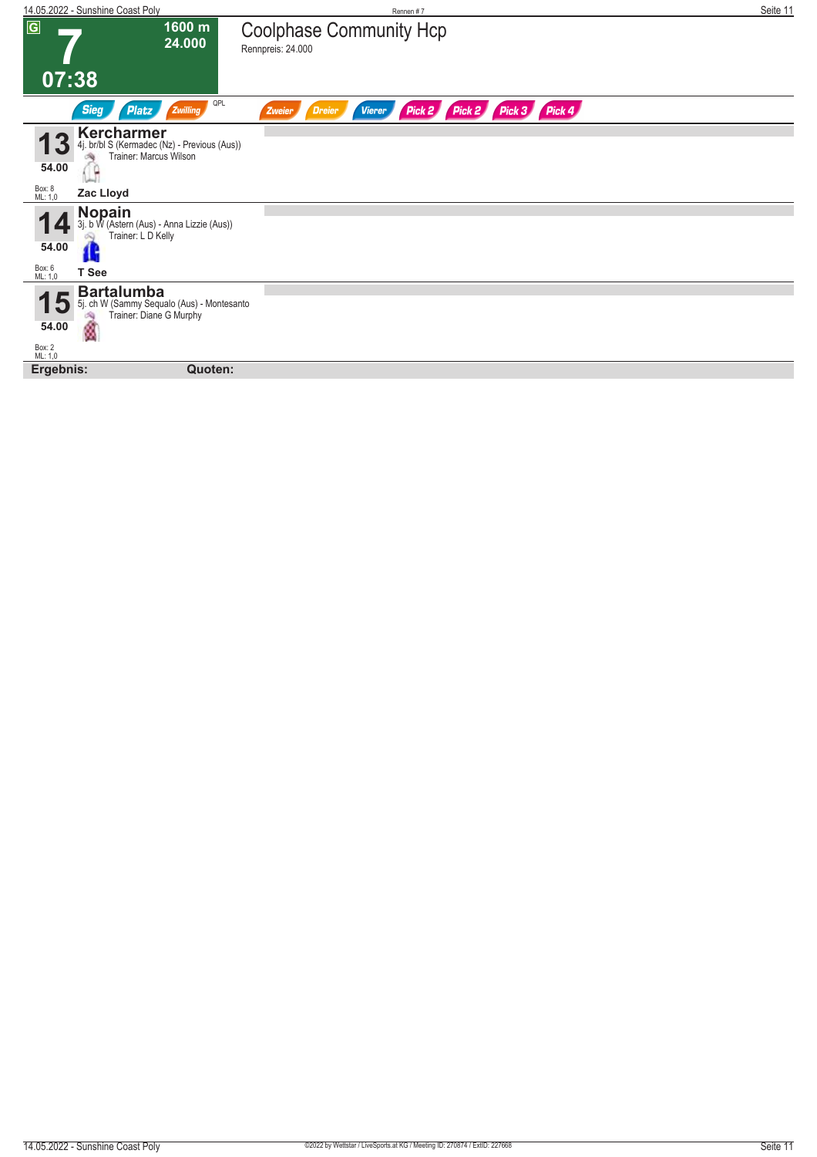| 14.05.2022 - Sunshine Coast Poly                                                                                                    | Rennen#7                                                                   | Seite 11 |
|-------------------------------------------------------------------------------------------------------------------------------------|----------------------------------------------------------------------------|----------|
| $\overline{G}$<br>1600 m<br>24.000<br>07:38                                                                                         | <b>Coolphase Community Hcp</b><br>Rennpreis: 24.000                        |          |
| QPL<br><b>Sieg</b><br>Zwilling<br>Platz                                                                                             | Pick 2 Pick 3 Pick 4<br>Pick 2<br><b>Dreier</b><br><b>Vierer</b><br>Zweier |          |
| Kercharmer<br>4j. br/bl S (Kermadec (Nz) - Previous (Aus))<br>Trainer: Marcus Wilson<br>54.00<br>Box: 8<br>ML: 1,0<br>Zac Lloyd     |                                                                            |          |
|                                                                                                                                     |                                                                            |          |
| <b>Nopain</b><br>3j. b W (Astern (Aus) - Anna Lizzie (Aus))<br>Trainer: L D Kelly<br>54.00<br>T See                                 |                                                                            |          |
| Box: 6<br>ML: 1,0                                                                                                                   |                                                                            |          |
| <b>Bartalumba</b><br>15<br>5j. ch W (Sammy Sequalo (Aus) - Montesanto<br>Trainer: Diane G Murphy<br>ø<br>54.00<br>Box: 2<br>ML: 1,0 |                                                                            |          |
| Ergebnis:<br>Quoten:                                                                                                                |                                                                            |          |
|                                                                                                                                     |                                                                            |          |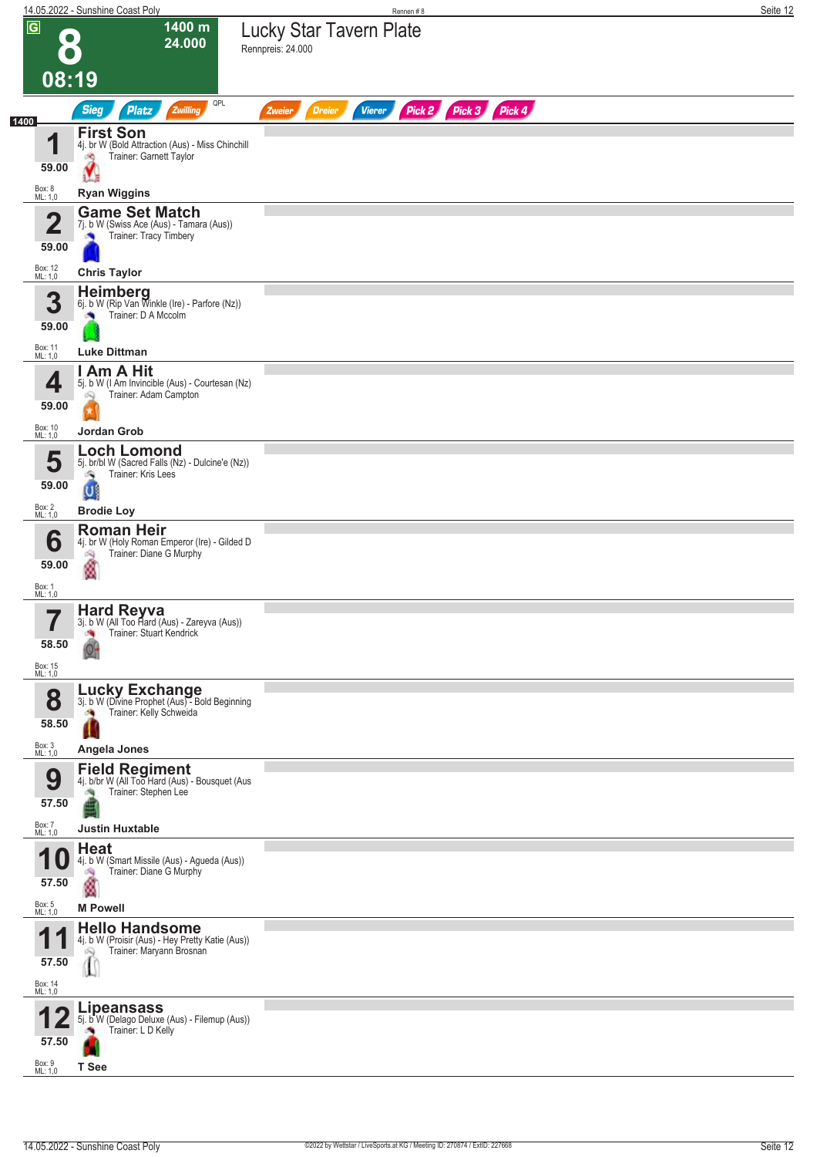|                                                        | 14.05.2022 - Sunshine Coast Poly                                                                                                       | Rennen#8                                                         | Seite 12 |
|--------------------------------------------------------|----------------------------------------------------------------------------------------------------------------------------------------|------------------------------------------------------------------|----------|
| $\overline{G}$                                         | 1400 m<br>24.000<br>08:19                                                                                                              | <b>Lucky Star Tavern Plate</b><br>Rennpreis: 24.000              |          |
|                                                        | QPL<br><b>Sieg</b><br><b>Platz</b><br>Zwilling                                                                                         | Pick 2 Pick 3 Pick 4<br><b>Dreier</b><br><b>Vierer</b><br>Zweier |          |
| 1400<br>И<br>59.00<br>Box: 8<br>ML: 1,0                | <b>First Son</b><br>4j. br W (Bold Attraction (Aus) - Miss Chinchill<br>Trainer: Garnett Taylor<br>đÒ,<br><b>Ryan Wiggins</b>          |                                                                  |          |
| $\mathbf 2$<br>59.00                                   | <b>Game Set Match</b><br>7j. b W (Swiss Ace (Aus) - Tamara (Aus))<br>Trainer: Tracy Timbery<br>G                                       |                                                                  |          |
| Box: 12<br>ML: 1,0<br>3<br>59.00                       | <b>Chris Taylor</b><br>Heimberg<br>6j. b W (Rip Van Winkle (Ire) - Parfore (Nz))<br>Trainer: D A Mccolm                                |                                                                  |          |
| Box: 11<br>ML: 1,0<br>4<br>59.00<br>Box: 10<br>ML: 1,0 | <b>Luke Dittman</b><br>Am A Hit<br>5j. b W (I Am Invincible (Aus) - Courtesan (Nz)<br>Trainer: Adam Campton<br>Q<br><b>Jordan Grob</b> |                                                                  |          |
| 5<br>59.00<br>Box: 2<br>ML: 1,0                        | <b>Loch Lomond</b><br>5j. br/bl W (Sacred Falls (Nz) - Dulcine'e (Nz))<br>Trainer: Kris Lees<br>- 1<br>$\cup$<br><b>Brodie Loy</b>     |                                                                  |          |
| 6<br>59.00<br>Box: 1<br>ML: 1,0                        | <b>Roman Heir</b><br>4j. br W (Holy Roman Emperor (Ire) - Gilded D<br>Trainer: Diane G Murphy<br>ó9<br>ø                               |                                                                  |          |
| 7<br>ı<br>58.50<br>Box: 15<br>ML: 1,0                  | Hard Reyva<br>3j. b.W (All Too Hard (Aus) - Zareyva (Aus))<br>Trainer: Stuart Kendrick                                                 |                                                                  |          |
| 8<br>58.50                                             | Lucky Exchange<br>3j. b W (Divine Prophet (Aus) - Bold Beginning<br>Trainer: Kelly Schweida<br>Ш                                       |                                                                  |          |
| Box: 3<br>ML: 1,0<br>9<br>57.50<br>Box: 7<br>ML: 1,0   | Angela Jones<br>Field Regiment<br>4j. b/br W (All Too Hard (Aus) - Bousquet (Aus<br>Trainer: Stephen Lee<br><b>Justin Huxtable</b>     |                                                                  |          |
| 57.50<br>Box: 5<br>ML: 1,0                             | <b>Heat</b><br>4j. b W (Smart Missile (Aus) - Agueda (Aus))<br>Trainer: Diane G Murphy<br>鸿<br>ø<br><b>M Powell</b>                    |                                                                  |          |
| И.<br>57.50<br>Box: 14<br>ML: 1,0                      | <b>Hello Handsome</b><br>4j. b W (Proisir (Aus) - Hey Pretty Katie (Aus))<br>Trainer: Maryann Brosnan<br>1                             |                                                                  |          |
| 57.50<br>Box: 9<br>ML: 1,0                             | <b>Lipeansass</b><br>5j. b W (Delago Deluxe (Aus) - Filemup (Aus))<br>Trainer: L D Kelly<br>T See                                      |                                                                  |          |